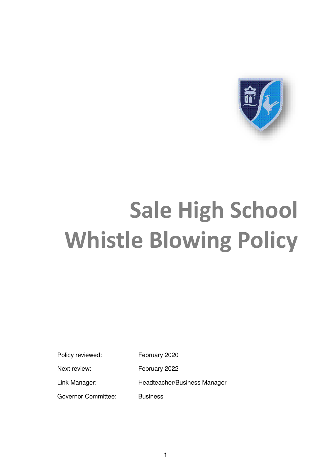

# **Sale High School Whistle Blowing Policy**

Policy reviewed: February 2020

Next review: February 2022

Link Manager: Headteacher/Business Manager

Governor Committee: Business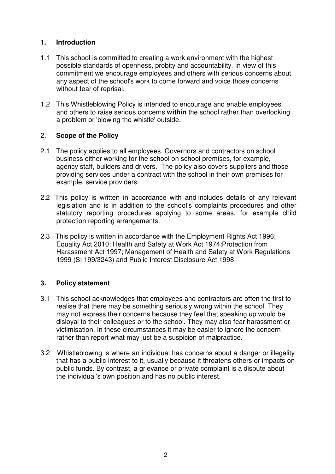# **1. Introduction**

- 1.1 This school is committed to creating a work environment with the highest possible standards of openness, probity and accountability. In view of this commitment we encourage employees and others with serious concerns about any aspect of the school's work to come forward and voice those concerns without fear of reprisal.
- 1.2 This Whistleblowing Policy is intended to encourage and enable employees and others to raise serious concerns **within** the school rather than overlooking a problem or 'blowing the whistle' outside.

# 2. **Scope of the Policy**

- 2.1 The policy applies to all employees, Governors and contractors on school business either working for the school on school premises, for example, agency staff, builders and drivers. The policy also covers suppliers and those providing services under a contract with the school in their own premises for example, service providers.
- 2.2 This policy is written in accordance with and includes details of any relevant legislation and is in addition to the school's complaints procedures and other statutory reporting procedures applying to some areas, for example child protection reporting arrangements.
- 2.3 This policy is written in accordance with the Employment Rights Act 1996; Equality Act 2010; Health and Safety at Work Act 1974;Protection from Harassment Act 1997; Management of Health and Safety at Work Regulations 1999 (SI 199/3243) and Public Interest Disclosure Act 1998

# **3. Policy statement**

- 3.1 This school acknowledges that employees and contractors are often the first to realise that there may be something seriously wrong within the school. They may not express their concerns because they feel that speaking up would be disloyal to their colleagues or to the school. They may also fear harassment or victimisation. In these circumstances it may be easier to ignore the concern rather than report what may just be a suspicion of malpractice.
- 3.2 Whistleblowing is where an individual has concerns about a danger or illegality that has a public interest to it, usually because it threatens others or impacts on public funds. By contrast, a grievance or private complaint is a dispute about the individual's own position and has no public interest.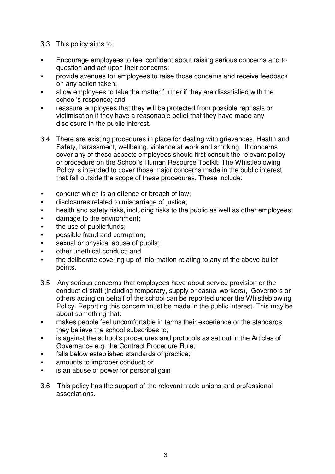- 3.3 This policy aims to:
- Encourage employees to feel confident about raising serious concerns and to question and act upon their concerns;
- provide avenues for employees to raise those concerns and receive feedback on any action taken;
- allow employees to take the matter further if they are dissatisfied with the school's response; and
- reassure employees that they will be protected from possible reprisals or victimisation if they have a reasonable belief that they have made any disclosure in the public interest.
- 3.4 There are existing procedures in place for dealing with grievances, Health and Safety, harassment, wellbeing, violence at work and smoking. If concerns cover any of these aspects employees should first consult the relevant policy or procedure on the School's Human Resource Toolkit. The Whistleblowing Policy is intended to cover those major concerns made in the public interest tha**t** fall outside the scope of these procedures. These include:
- conduct which is an offence or breach of law;
- disclosures related to miscarriage of justice;
- health and safety risks, including risks to the public as well as other employees;
- damage to the environment;
- the use of public funds;
- possible fraud and corruption;
- sexual or physical abuse of pupils;
- other unethical conduct; and
- the deliberate covering up of information relating to any of the above bullet points.
- 3.5 Any serious concerns that employees have about service provision or the conduct of staff (including temporary, supply or casual workers), Governors or others acting on behalf of the school can be reported under the Whistleblowing Policy. Reporting this concern must be made in the public interest. This may be about something that:
- makes people feel uncomfortable in terms their experience or the standards they believe the school subscribes to;
- is against the school's procedures and protocols as set out in the Articles of Governance e.g. the Contract Procedure Rule;
- falls below established standards of practice;
- amounts to improper conduct; or
- is an abuse of power for personal gain
- 3.6 This policy has the support of the relevant trade unions and professional associations.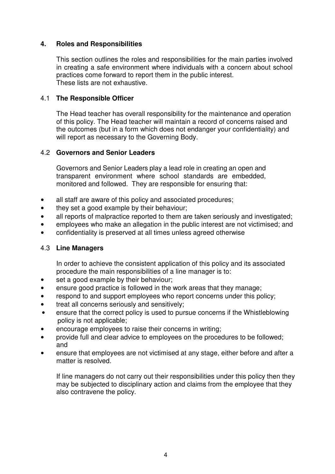## **4. Roles and Responsibilities**

This section outlines the roles and responsibilities for the main parties involved in creating a safe environment where individuals with a concern about school practices come forward to report them in the public interest. These lists are not exhaustive.

#### 4.1 **The Responsible Officer**

The Head teacher has overall responsibility for the maintenance and operation of this policy. The Head teacher will maintain a record of concerns raised and the outcomes (but in a form which does not endanger your confidentiality) and will report as necessary to the Governing Body.

#### 4.2 **Governors and Senior Leaders**

Governors and Senior Leaders play a lead role in creating an open and transparent environment where school standards are embedded, monitored and followed. They are responsible for ensuring that:

- all staff are aware of this policy and associated procedures;
- they set a good example by their behaviour;
- all reports of malpractice reported to them are taken seriously and investigated;
- employees who make an allegation in the public interest are not victimised; and
- confidentiality is preserved at all times unless agreed otherwise

#### 4.3 **Line Managers**

In order to achieve the consistent application of this policy and its associated procedure the main responsibilities of a line manager is to:

- set a good example by their behaviour;
- ensure good practice is followed in the work areas that they manage;
- respond to and support employees who report concerns under this policy;
- treat all concerns seriously and sensitively;
- ensure that the correct policy is used to pursue concerns if the Whistleblowing policy is not applicable;
- encourage employees to raise their concerns in writing;
- provide full and clear advice to employees on the procedures to be followed; and
- ensure that employees are not victimised at any stage, either before and after a matter is resolved.

If line managers do not carry out their responsibilities under this policy then they may be subjected to disciplinary action and claims from the employee that they also contravene the policy.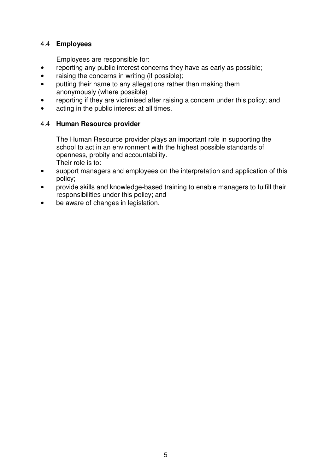# 4.4 **Employees**

Employees are responsible for:

- reporting any public interest concerns they have as early as possible;
- raising the concerns in writing (if possible);
- putting their name to any allegations rather than making them anonymously (where possible)
- reporting if they are victimised after raising a concern under this policy; and
- acting in the public interest at all times.

# 4.4 **Human Resource provider**

The Human Resource provider plays an important role in supporting the school to act in an environment with the highest possible standards of openness, probity and accountability. Their role is to:

- support managers and employees on the interpretation and application of this policy;
- provide skills and knowledge-based training to enable managers to fulfill their responsibilities under this policy; and
- be aware of changes in legislation.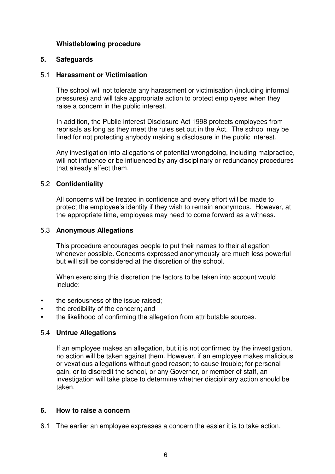#### **Whistleblowing procedure**

#### **5. Safeguards**

#### 5.1 **Harassment or Victimisation**

The school will not tolerate any harassment or victimisation (including informal pressures) and will take appropriate action to protect employees when they raise a concern in the public interest.

In addition, the Public Interest Disclosure Act 1998 protects employees from reprisals as long as they meet the rules set out in the Act. The school may be fined for not protecting anybody making a disclosure in the public interest.

Any investigation into allegations of potential wrongdoing, including malpractice, will not influence or be influenced by any disciplinary or redundancy procedures that already affect them.

#### 5.2 **Confidentiality**

All concerns will be treated in confidence and every effort will be made to protect the employee's identity if they wish to remain anonymous. However, at the appropriate time, employees may need to come forward as a witness.

#### 5.3 **Anonymous Allegations**

This procedure encourages people to put their names to their allegation whenever possible. Concerns expressed anonymously are much less powerful but will still be considered at the discretion of the school.

When exercising this discretion the factors to be taken into account would include:

- the seriousness of the issue raised;
- the credibility of the concern; and
- the likelihood of confirming the allegation from attributable sources.

#### 5.4 **Untrue Allegations**

If an employee makes an allegation, but it is not confirmed by the investigation, no action will be taken against them. However, if an employee makes malicious or vexatious allegations without good reason; to cause trouble; for personal gain, or to discredit the school, or any Governor, or member of staff, an investigation will take place to determine whether disciplinary action should be taken.

#### **6. How to raise a concern**

6.1 The earlier an employee expresses a concern the easier it is to take action.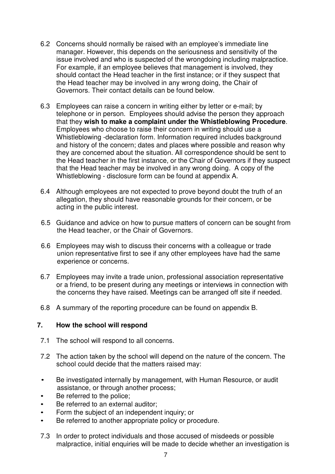- 6.2 Concerns should normally be raised with an employee's immediate line manager. However, this depends on the seriousness and sensitivity of the issue involved and who is suspected of the wrongdoing including malpractice. For example, if an employee believes that management is involved, they should contact the Head teacher in the first instance; or if they suspect that the Head teacher may be involved in any wrong doing, the Chair of Governors. Their contact details can be found below.
- 6.3 Employees can raise a concern in writing either by letter or e-mail; by telephone or in person. Employees should advise the person they approach that they **wish to make a complaint under the Whistleblowing Procedure**. Employees who choose to raise their concern in writing should use a Whistleblowing -declaration form. Information required includes background and history of the concern; dates and places where possible and reason why they are concerned about the situation. All correspondence should be sent to the Head teacher in the first instance, or the Chair of Governors if they suspect that the Head teacher may be involved in any wrong doing. A copy of the Whistleblowing - disclosure form can be found at appendix A.
- 6.4 Although employees are not expected to prove beyond doubt the truth of an allegation, they should have reasonable grounds for their concern, or be acting in the public interest.
- 6.5 Guidance and advice on how to pursue matters of concern can be sought from the Head teacher, or the Chair of Governors.
- 6.6 Employees may wish to discuss their concerns with a colleague or trade union representative first to see if any other employees have had the same experience or concerns.
- 6.7 Employees may invite a trade union, professional association representative or a friend, to be present during any meetings or interviews in connection with the concerns they have raised. Meetings can be arranged off site if needed.
- 6.8 A summary of the reporting procedure can be found on appendix B.

#### **7. How the school will respond**

- 7.1 The school will respond to all concerns.
- 7.2 The action taken by the school will depend on the nature of the concern. The school could decide that the matters raised may:
- Be investigated internally by management, with Human Resource, or audit assistance, or through another process;
- Be referred to the police;
- Be referred to an external auditor:
- Form the subject of an independent inquiry; or
- Be referred to another appropriate policy or procedure.
- 7.3 In order to protect individuals and those accused of misdeeds or possible malpractice, initial enquiries will be made to decide whether an investigation is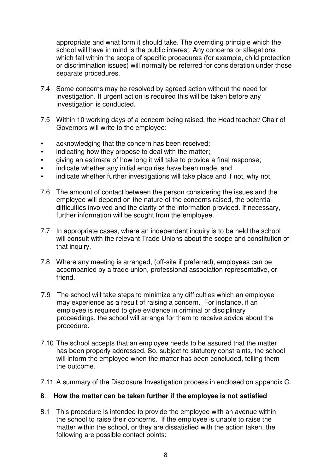appropriate and what form it should take. The overriding principle which the school will have in mind is the public interest. Any concerns or allegations which fall within the scope of specific procedures (for example, child protection or discrimination issues) will normally be referred for consideration under those separate procedures.

- 7.4 Some concerns may be resolved by agreed action without the need for investigation. If urgent action is required this will be taken before any investigation is conducted.
- 7.5 Within 10 working days of a concern being raised, the Head teacher/ Chair of Governors will write to the employee:
- acknowledging that the concern has been received;
- indicating how they propose to deal with the matter;
- giving an estimate of how long it will take to provide a final response;
- indicate whether any initial enquiries have been made; and
- indicate whether further investigations will take place and if not, why not.
- 7.6 The amount of contact between the person considering the issues and the employee will depend on the nature of the concerns raised, the potential difficulties involved and the clarity of the information provided. If necessary, further information will be sought from the employee.
- 7.7 In appropriate cases, where an independent inquiry is to be held the school will consult with the relevant Trade Unions about the scope and constitution of that inquiry.
- 7.8 Where any meeting is arranged, (off-site if preferred), employees can be accompanied by a trade union, professional association representative, or friend.
- 7.9 The school will take steps to minimize any difficulties which an employee may experience as a result of raising a concern. For instance, if an employee is required to give evidence in criminal or disciplinary proceedings, the school will arrange for them to receive advice about the procedure.
- 7.10 The school accepts that an employee needs to be assured that the matter has been properly addressed. So, subject to statutory constraints, the school will inform the employee when the matter has been concluded, telling them the outcome.
- 7.11 A summary of the Disclosure Investigation process in enclosed on appendix C.

#### **8**. **How the matter can be taken further if the employee is not satisfied**

8.1 This procedure is intended to provide the employee with an avenue within the school to raise their concerns. If the employee is unable to raise the matter within the school, or they are dissatisfied with the action taken, the following are possible contact points: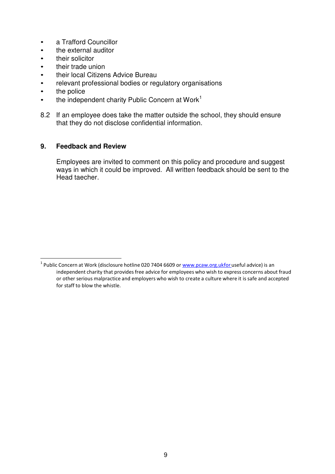- a Trafford Councillor
- the external auditor
- their solicitor
- their trade union
- their local Citizens Advice Bureau
- relevant professional bodies or regulatory organisations
- the police
- $\bullet$  the independent charity Public Concern at Work<sup>1</sup>
- 8.2 If an employee does take the matter outside the school, they should ensure that they do not disclose confidential information.

#### **9. Feedback and Review**

Employees are invited to comment on this policy and procedure and suggest ways in which it could be improved. All written feedback should be sent to the Head taecher.

<sup>&</sup>lt;sup>1</sup> Public Concern at Work (disclosure hotline 020 7404 6609 or www.pcaw.org.ukfor useful advice) is an independent charity that provides free advice for employees who wish to express concerns about fraud or other serious malpractice and employers who wish to create a culture where it is safe and accepted for staff to blow the whistle.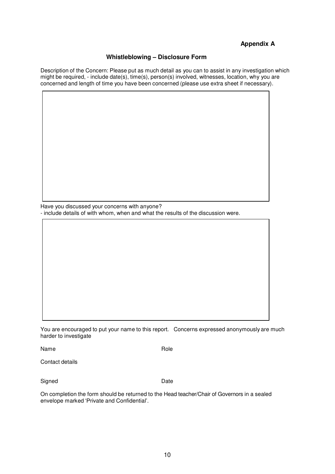## **Appendix A**

#### **Whistleblowing – Disclosure Form**

Description of the Concern: Please put as much detail as you can to assist in any investigation which might be required, - include date(s), time(s), person(s) involved, witnesses, location, why you are concerned and length of time you have been concerned (please use extra sheet if necessary).

Have you discussed your concerns with anyone? - include details of with whom, when and what the results of the discussion were.

You are encouraged to put your name to this report. Concerns expressed anonymously are much harder to investigate

Name **Name** Role

Contact details

Signed Date

On completion the form should be returned to the Head teacher/Chair of Governors in a sealed envelope marked 'Private and Confidential'.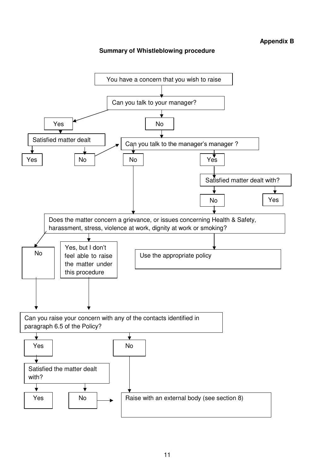#### **Summary of Whistleblowing procedure**